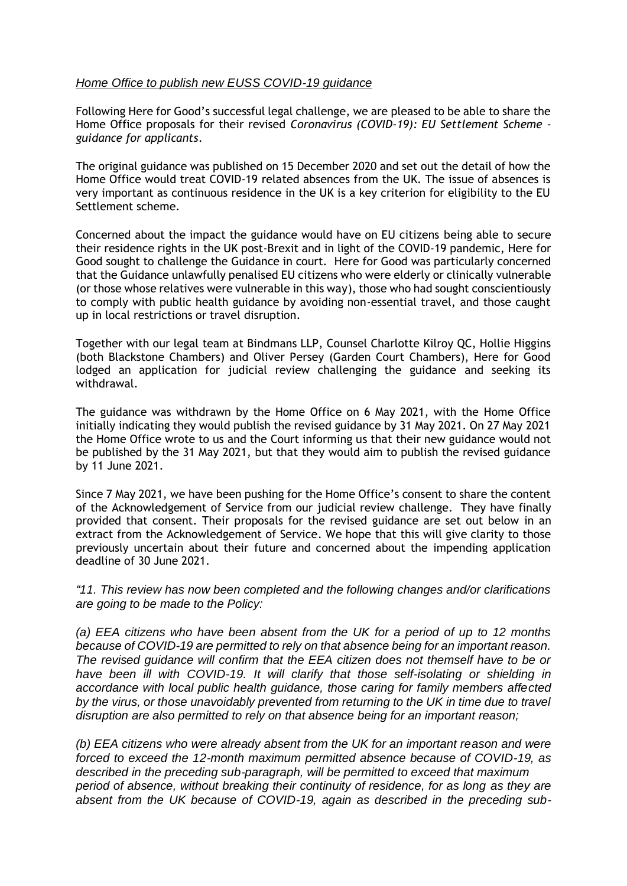## *Home Office to publish new EUSS COVID-19 guidance*

Following Here for Good's successful legal challenge, we are pleased to be able to share the Home Office proposals for their revised *Coronavirus (COVID-19): EU Settlement Scheme guidance for applicants*.

The original guidance was published on 15 December 2020 and set out the detail of how the Home Office would treat COVID-19 related absences from the UK. The issue of absences is very important as continuous residence in the UK is a key criterion for eligibility to the EU Settlement scheme.

Concerned about the impact the guidance would have on EU citizens being able to secure their residence rights in the UK post-Brexit and in light of the COVID-19 pandemic, Here for Good sought to challenge the Guidance in court. Here for Good was particularly concerned that the Guidance unlawfully penalised EU citizens who were elderly or clinically vulnerable (or those whose relatives were vulnerable in this way), those who had sought conscientiously to comply with public health guidance by avoiding non-essential travel, and those caught up in local restrictions or travel disruption.

Together with our legal team at Bindmans LLP, Counsel Charlotte Kilroy QC, Hollie Higgins (both Blackstone Chambers) and Oliver Persey (Garden Court Chambers), Here for Good lodged an application for judicial review challenging the guidance and seeking its withdrawal.

The guidance was withdrawn by the Home Office on 6 May 2021, with the Home Office initially indicating they would publish the revised guidance by 31 May 2021. On 27 May 2021 the Home Office wrote to us and the Court informing us that their new guidance would not be published by the 31 May 2021, but that they would aim to publish the revised guidance by 11 June 2021.

Since 7 May 2021, we have been pushing for the Home Office's consent to share the content of the Acknowledgement of Service from our judicial review challenge. They have finally provided that consent. Their proposals for the revised guidance are set out below in an extract from the Acknowledgement of Service. We hope that this will give clarity to those previously uncertain about their future and concerned about the impending application deadline of 30 June 2021.

*"11. This review has now been completed and the following changes and/or clarifications are going to be made to the Policy:* 

*(a) EEA citizens who have been absent from the UK for a period of up to 12 months because of COVID-19 are permitted to rely on that absence being for an important reason. The revised guidance will confirm that the EEA citizen does not themself have to be or have been ill with COVID-19. It will clarify that those self-isolating or shielding in accordance with local public health guidance, those caring for family members affected by the virus, or those unavoidably prevented from returning to the UK in time due to travel disruption are also permitted to rely on that absence being for an important reason;* 

*(b) EEA citizens who were already absent from the UK for an important reason and were forced to exceed the 12-month maximum permitted absence because of COVID-19, as described in the preceding sub-paragraph, will be permitted to exceed that maximum period of absence, without breaking their continuity of residence, for as long as they are absent from the UK because of COVID-19, again as described in the preceding sub-*